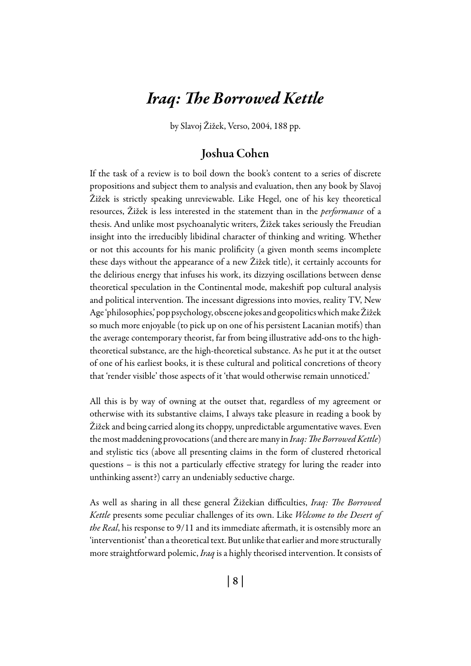# Iraq: The Borrowed Kettle

by Slavoj Žižek, Verso, 2004, 188 pp.

# Joshua Cohen

If the task of a review is to boil down the book's content to a series of discrete propositions and subject them to analysis and evaluation, then any book by Slavoj Žižek is strictly speaking unreviewable. Like Hegel, one of his key theoretical resources, Žižek is less interested in the statement than in the *performance* of a thesis. And unlike most psychoanalytic writers, Žižek takes seriously the Freudian insight into the irreducibly libidinal character of thinking and writing. Whether or not this accounts for his manic prolificity (a given month seems incomplete these days without the appearance of a new Žižek title), it certainly accounts for the delirious energy that infuses his work, its dizzying oscillations between dense theoretical speculation in the Continental mode, makeshift pop cultural analysis and political intervention. The incessant digressions into movies, reality  $TV$ , New Age 'philosophies,' pop psychology, obscene jokes and geopolitics which make Žižek so much more enjoyable (to pick up on one of his persistent Lacanian motifs) than the average contemporary theorist, far from being illustrative add-ons to the hightheoretical substance, are the high-theoretical substance. As he put it at the outset of one of his earliest books, it is these cultural and political concretions of theory that 'render visible' those aspects of it 'that would otherwise remain unnoticed.'

All this is by way of owning at the outset that, regardless of my agreement or otherwise with its substantive claims, I always take pleasure in reading a book by Žižek and being carried along its choppy, unpredictable argumentative waves. Even the most maddening provocations (and there are many in *Iraq: The Borrowed Kettle*) and stylistic tics (above all presenting claims in the form of clustered rhetorical questions  $-$  is this not a particularly effective strategy for luring the reader into unthinking assent?) carry an undeniably seductive charge.

As well as sharing in all these general Žižekian difficulties, Iraq: The Borrowed Kettle presents some peculiar challenges of its own. Like Welcome to the Desert of the Real, his response to  $9/11$  and its immediate aftermath, it is ostensibly more an 'interventionist' than a theoretical text. But unlike that earlier and more structurally more straightforward polemic, *Iraq* is a highly theorised intervention. It consists of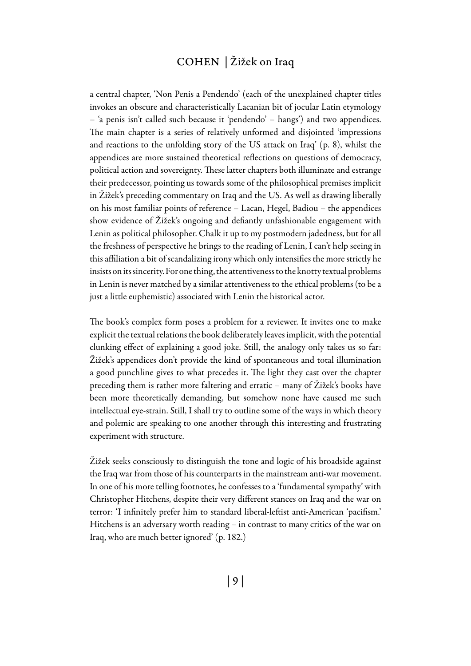### COHEN | Žižek on Iraq

a central chapter, 'Non Penis a Pendendo' (each of the unexplained chapter titles invokes an obscure and characteristically Lacanian bit of jocular Latin etymology – 'a penis isn't called such because it 'pendendo' – hangs') and two appendices. The main chapter is a series of relatively unformed and disjointed 'impressions and reactions to the unfolding story of the US attack on Iraq' (p. 8), whilst the appendices are more sustained theoretical reflections on questions of democracy, political action and sovereignty. These latter chapters both illuminate and estrange their predecessor, pointing us towards some of the philosophical premises implicit in Žižek's preceding commentary on Iraq and the US. As well as drawing liberally on his most familiar points of reference – Lacan, Hegel, Badiou – the appendices show evidence of Žižek's ongoing and defiantly unfashionable engagement with Lenin as political philosopher. Chalk it up to my postmodern jadedness, but for all the freshness of perspective he brings to the reading of Lenin, I can't help seeing in this affiliation a bit of scandalizing irony which only intensifies the more strictly he insists on its sincerity. For one thing, the attentiveness to the knotty textual problems in Lenin is never matched by a similar attentiveness to the ethical problems (to be a just a little euphemistic) associated with Lenin the historical actor.

The book's complex form poses a problem for a reviewer. It invites one to make explicit the textual relations the book deliberately leaves implicit, with the potential clunking effect of explaining a good joke. Still, the analogy only takes us so far: Žižek's appendices don't provide the kind of spontaneous and total illumination a good punchline gives to what precedes it. The light they cast over the chapter preceding them is rather more faltering and erratic – many of Žižek's books have been more theoretically demanding, but somehow none have caused me such intellectual eye-strain. Still, I shall try to outline some of the ways in which theory and polemic are speaking to one another through this interesting and frustrating experiment with structure.

Žižek seeks consciously to distinguish the tone and logic of his broadside against the Iraq war from those of his counterparts in the mainstream anti-war movement. In one of his more telling footnotes, he confesses to a 'fundamental sympathy' with Christopher Hitchens, despite their very different stances on Iraq and the war on terror: 'I infinitely prefer him to standard liberal-leftist anti-American 'pacifism.' Hitchens is an adversary worth reading – in contrast to many critics of the war on Iraq, who are much better ignored' (p. 182.)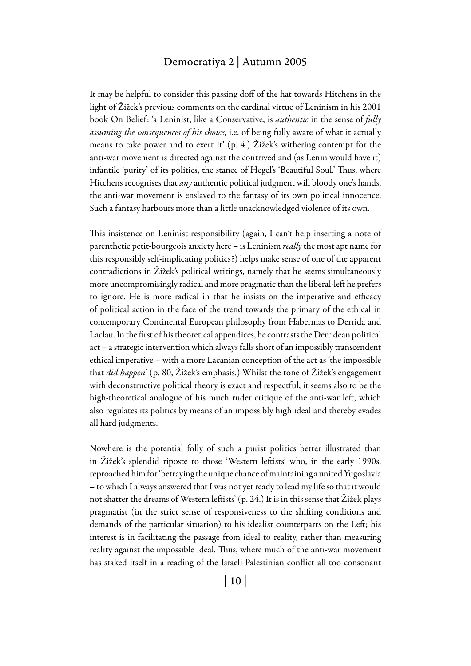#### Democratiya 2 | Autumn 2005

It may be helpful to consider this passing doff of the hat towards Hitchens in the light of Žižek's previous comments on the cardinal virtue of Leninism in his 2001 book On Belief: 'a Leninist, like a Conservative, is *authentic* in the sense of *fully* assuming the consequences of his choice, i.e. of being fully aware of what it actually means to take power and to exert it' (p. 4.) Žižek's withering contempt for the anti-war movement is directed against the contrived and (as Lenin would have it) infantile 'purity' of its politics, the stance of Hegel's 'Beautiful Soul.' Thus, where Hitchens recognises that *any* authentic political judgment will bloody one's hands, the anti-war movement is enslaved to the fantasy of its own political innocence. Such a fantasy harbours more than a little unacknowledged violence of its own.

This insistence on Leninist responsibility (again, I can't help inserting a note of parenthetic petit-bourgeois anxiety here – is Leninism really the most apt name for this responsibly self-implicating politics?) helps make sense of one of the apparent contradictions in Žižek's political writings, namely that he seems simultaneously more uncompromisingly radical and more pragmatic than the liberal-left he prefers to ignore. He is more radical in that he insists on the imperative and efficacy of political action in the face of the trend towards the primary of the ethical in contemporary Continental European philosophy from Habermas to Derrida and Laclau. In the first of his theoretical appendices, he contrasts the Derridean political act – a strategic intervention which always falls short of an impossibly transcendent ethical imperative – with a more Lacanian conception of the act as 'the impossible that *did happen*' (p. 80, Žižek's emphasis.) Whilst the tone of Žižek's engagement with deconstructive political theory is exact and respectful, it seems also to be the high-theoretical analogue of his much ruder critique of the anti-war left, which also regulates its politics by means of an impossibly high ideal and thereby evades all hard judgments.

Nowhere is the potential folly of such a purist politics better illustrated than in Žižek's splendid riposte to those 'Western leftists' who, in the early 1990s, reproached him for 'betraying the unique chance of maintaining a united Yugoslavia – to which I always answered that I was not yet ready to lead my life so that it would not shatter the dreams of Western leftists' (p. 24.) It is in this sense that Žižek plays pragmatist (in the strict sense of responsiveness to the shifting conditions and demands of the particular situation) to his idealist counterparts on the Left; his interest is in facilitating the passage from ideal to reality, rather than measuring reality against the impossible ideal. Thus, where much of the anti-war movement has staked itself in a reading of the Israeli-Palestinian conflict all too consonant

| 10 |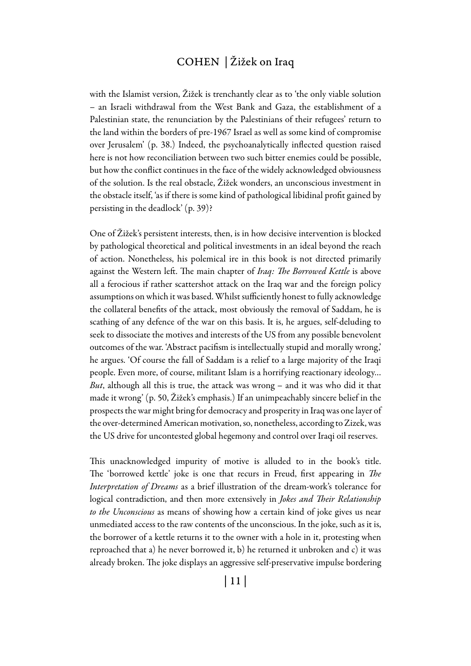# COHEN | Žižek on Iraq

with the Islamist version, Žižek is trenchantly clear as to 'the only viable solution – an Israeli withdrawal from the West Bank and Gaza, the establishment of a Palestinian state, the renunciation by the Palestinians of their refugees' return to the land within the borders of pre-1967 Israel as well as some kind of compromise over Jerusalem' (p. 38.) Indeed, the psychoanalytically inflected question raised here is not how reconciliation between two such bitter enemies could be possible, but how the conflict continues in the face of the widely acknowledged obviousness of the solution. Is the real obstacle, Žižek wonders, an unconscious investment in the obstacle itself, 'as if there is some kind of pathological libidinal profit gained by persisting in the deadlock' (p. 39)?

One of Žižek's persistent interests, then, is in how decisive intervention is blocked by pathological theoretical and political investments in an ideal beyond the reach of action. Nonetheless, his polemical ire in this book is not directed primarily against the Western left. The main chapter of Iraq: The Borrowed Kettle is above all a ferocious if rather scattershot attack on the Iraq war and the foreign policy assumptions on which it was based. Whilst sufficiently honest to fully acknowledge the collateral benefits of the attack, most obviously the removal of Saddam, he is scathing of any defence of the war on this basis. It is, he argues, self-deluding to seek to dissociate the motives and interests of the US from any possible benevolent outcomes of the war. 'Abstract pacifism is intellectually stupid and morally wrong,' he argues. 'Of course the fall of Saddam is a relief to a large majority of the Iraqi people. Even more, of course, militant Islam is a horrifying reactionary ideology… But, although all this is true, the attack was wrong  $-$  and it was who did it that made it wrong' (p. 50, Žižek's emphasis.) If an unimpeachably sincere belief in the prospects the war might bring for democracy and prosperity in Iraq was one layer of the over-determined American motivation, so, nonetheless, according to Zizek, was the US drive for uncontested global hegemony and control over Iraqi oil reserves.

This unacknowledged impurity of motive is alluded to in the book's title. The 'borrowed kettle' joke is one that recurs in Freud, first appearing in  $The$ Interpretation of Dreams as a brief illustration of the dream-work's tolerance for logical contradiction, and then more extensively in Jokes and Their Relationship to the Unconscious as means of showing how a certain kind of joke gives us near unmediated access to the raw contents of the unconscious. In the joke, such as it is, the borrower of a kettle returns it to the owner with a hole in it, protesting when reproached that a) he never borrowed it, b) he returned it unbroken and c) it was already broken. The joke displays an aggressive self-preservative impulse bordering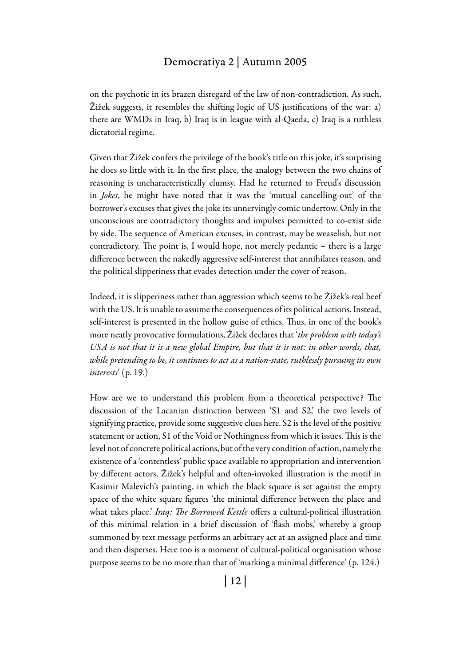#### Democratiya 2 | Autumn 2005

on the psychotic in its brazen disregard of the law of non-contradiction. As such, Žižek suggests, it resembles the shifting logic of US justifications of the war: a) there are WMDs in Iraq, b) Iraq is in league with al-Qaeda, c) Iraq is a ruthless dictatorial regime.

Given that Žižek confers the privilege of the book's title on this joke, it's surprising he does so little with it. In the first place, the analogy between the two chains of reasoning is uncharacteristically clumsy. Had he returned to Freud's discussion in Jokes, he might have noted that it was the 'mutual cancelling-out' of the borrower's excuses that gives the joke its unnervingly comic undertow. Only in the unconscious are contradictory thoughts and impulses permitted to co-exist side by side. The sequence of American excuses, in contrast, may be weaselish, but not contradictory. The point is, I would hope, not merely pedantic  $-$  there is a large difference between the nakedly aggressive self-interest that annihilates reason, and the political slipperiness that evades detection under the cover of reason.

Indeed, it is slipperiness rather than aggression which seems to be Žižek's real beef with the US. It is unable to assume the consequences of its political actions. Instead, self-interest is presented in the hollow guise of ethics. Thus, in one of the book's more neatly provocative formulations, Žižek declares that 'the problem with today's USA is not that it is a new global Empire, but that it is not: in other words, that, while pretending to be, it continues to act as a nation-state, ruthlessly pursuing its own interests' (p. 19.)

How are we to understand this problem from a theoretical perspective? The discussion of the Lacanian distinction between 'S1 and S2,' the two levels of signifying practice, provide some suggestive clues here. S2 is the level of the positive statement or action, S1 of the Void or Nothingness from which it issues. This is the level not of concrete political actions, but of the very condition of action, namely the existence of a 'contentless' public space available to appropriation and intervention by different actors. Žižek's helpful and often-invoked illustration is the motif in Kasimir Malevich's painting, in which the black square is set against the empty space of the white square figures 'the minimal difference between the place and what takes place.' Iraq: The Borrowed Kettle offers a cultural-political illustration of this minimal relation in a brief discussion of 'flash mobs,' whereby a group summoned by text message performs an arbitrary act at an assigned place and time and then disperses. Here too is a moment of cultural-political organisation whose purpose seems to be no more than that of 'marking a minimal difference' (p. 124.)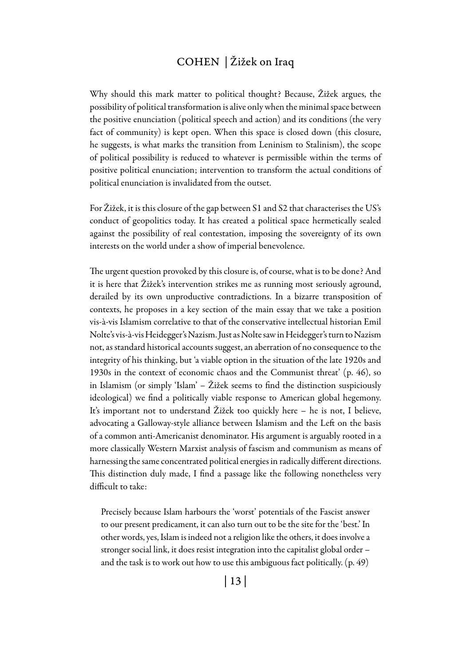## COHEN | Žižek on Iraq

Why should this mark matter to political thought? Because, Žižek argues, the possibility of political transformation is alive only when the minimal space between the positive enunciation (political speech and action) and its conditions (the very fact of community) is kept open. When this space is closed down (this closure, he suggests, is what marks the transition from Leninism to Stalinism), the scope of political possibility is reduced to whatever is permissible within the terms of positive political enunciation; intervention to transform the actual conditions of political enunciation is invalidated from the outset.

For Žižek, it is this closure of the gap between S1 and S2 that characterises the US's conduct of geopolitics today. It has created a political space hermetically sealed against the possibility of real contestation, imposing the sovereignty of its own interests on the world under a show of imperial benevolence.

The urgent question provoked by this closure is, of course, what is to be done? And it is here that Žižek's intervention strikes me as running most seriously aground, derailed by its own unproductive contradictions. In a bizarre transposition of contexts, he proposes in a key section of the main essay that we take a position vis-à-vis Islamism correlative to that of the conservative intellectual historian Emil Nolte's vis-à-vis Heidegger's Nazism. Just as Nolte saw in Heidegger's turn to Nazism not, as standard historical accounts suggest, an aberration of no consequence to the integrity of his thinking, but 'a viable option in the situation of the late 1920s and 1930s in the context of economic chaos and the Communist threat' (p. 46), so in Islamism (or simply 'Islam'  $-$  Žižek seems to find the distinction suspiciously ideological) we find a politically viable response to American global hegemony. It's important not to understand Žižek too quickly here – he is not, I believe, advocating a Galloway-style alliance between Islamism and the Left on the basis of a common anti-Americanist denominator. His argument is arguably rooted in a more classically Western Marxist analysis of fascism and communism as means of harnessing the same concentrated political energies in radically different directions. This distinction duly made, I find a passage like the following nonetheless very difficult to take:

Precisely because Islam harbours the 'worst' potentials of the Fascist answer to our present predicament, it can also turn out to be the site for the 'best.' In other words, yes, Islam is indeed not a religion like the others, it does involve a stronger social link, it does resist integration into the capitalist global order – and the task is to work out how to use this ambiguous fact politically. (p. 49)

| 13 |